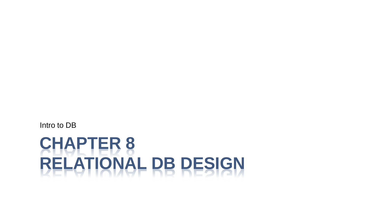# **CHAPTER 8 RELATIONAL DB DESIGN**

Intro to DB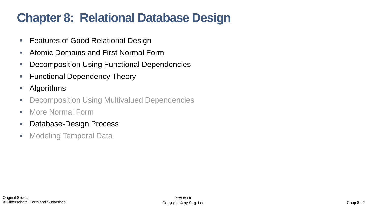# **Chapter 8: Relational Database Design**

- Features of Good Relational Design
- Atomic Domains and First Normal Form
- Decomposition Using Functional Dependencies
- **EXECTE:** Functional Dependency Theory
- **Algorithms**
- Decomposition Using Multivalued Dependencies
- More Normal Form
- Database-Design Process
- Modeling Temporal Data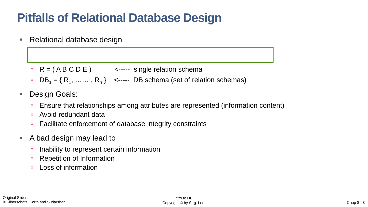# **Pitfalls of Relational Database Design**

Relational database design

- $R = (ABCDE)$  <----- single relation schema
- $\text{DB}_1 = \{ R_1, \ldots, R_n \}$  <----- DB schema (set of relation schemas)
- **Design Goals:** 
	- Ensure that relationships among attributes are represented (information content)
	- Avoid redundant data
	- Facilitate enforcement of database integrity constraints
- A bad design may lead to
	- Inability to represent certain information
	- **Repetition of Information**
	- **Loss of information**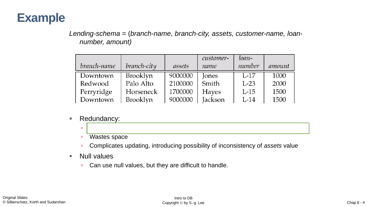

*Lending-schema* = (*branch-name, branch-city, assets, customer-name, loannumber, amount)*

|             |                 |         | customer-    | loan-  |        |
|-------------|-----------------|---------|--------------|--------|--------|
| branch-name | branch-city     | assets  | name         | number | amount |
| Downtown    | Brooklyn        | 9000000 | <b>Jones</b> | $L-17$ | 1000   |
| Redwood     | Palo Alto       | 2100000 | Smith        | $L-23$ | 2000   |
| Perryridge  | Horseneck       | 1700000 | <b>Hayes</b> | $L-15$ | 1500   |
| Downtown    | <b>Brooklyn</b> | 9000000 | Jackson      | $L-14$ | 1500   |

- Redundancy:
	- **Wastes space**
	- Complicates updating, introducing possibility of inconsistency of *assets* value

Data for *branch-name, branch-city, assets* are repeated for each loan

- Null values
	- **Can use null values, but they are difficult to handle.**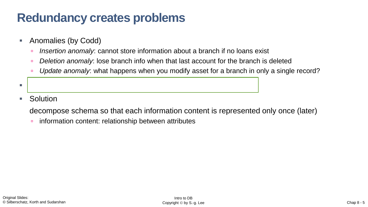### **Redundancy creates problems**

- Anomalies (by Codd)
	- *Insertion anomaly*: cannot store information about a branch if no loans exist
	- *Deletion anomaly*: lose branch info when that last account for the branch is deleted
	- *Update anomaly*: what happens when you modify asset for a branch in only a single record?
- The problems are caused by redundancy!
- Solution

decompose schema so that each information content is represented only once (later)

information content: relationship between attributes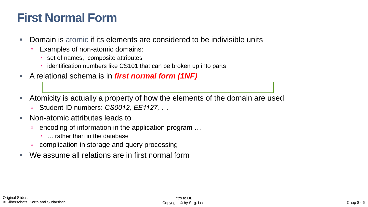# **First Normal Form**

- Domain is atomic if its elements are considered to be indivisible units
	- Examples of non-atomic domains:
		- set of names, composite attributes
		- identification numbers like CS101 that can be broken up into parts
- A relational schema is in *first normal form (1NF)*
- Atomicity is actually a property of how the elements of the domain are used
	- Student ID numbers: *CS0012, EE1127, …*
- Non-atomic attributes leads to
	- encoding of information in the application program ...
		- … rather than in the database
	- **complication in storage and query processing**
- We assume all relations are in first normal form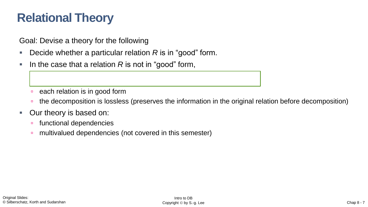# **Relational Theory**

Goal: Devise a theory for the following

- Decide whether a particular relation R is in "good" form.
- In the case that a relation R is not in "good" form,

decompose it into a set of relations {*R*<sup>1</sup>

- each relation is in good form
- <sup>n</sup> the decomposition is lossless (preserves the information in the original relation before decomposition)
- **Our theory is based on:** 
	- functional dependencies
	- **n** multivalued dependencies (not covered in this semester)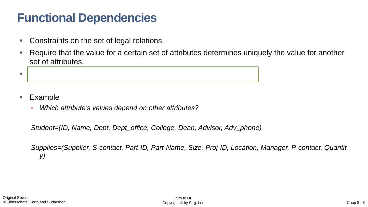## **Functional Dependencies**

- Constraints on the set of legal relations.
- Require that the value for a certain set of attributes determines uniquely the value for another set of attributes.



- **Example** 
	- *Which attribute's values depend on other attributes?*

*Student=(ID, Name, Dept, Dept\_office, College, Dean, Advisor, Adv\_phone)*

*Supplies=(Supplier, S-contact, Part-ID, Part-Name, Size, Proj-ID, Location, Manager, P-contact, Quantit y)*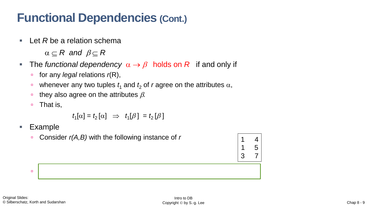### **Functional Dependencies (Cont.)**

■ Let *R* be a relation schema

 $\alpha \subseteq R$  and  $\beta \subseteq R$ 

- The *functional dependency*  $\alpha \rightarrow \beta$  holds on R if and only if
	- for any *legal* relations *r*(R),
	- whenever any two tuples  $t_1$  and  $t_2$  of *r* agree on the attributes  $\alpha$ ,
	- they also agree on the attributes  $\beta$ .
	- That is,

 $t_1[\alpha] = t_2[\alpha] \Rightarrow t_1[\beta] = t_2[\beta]$ 

- Example
	- Consider *r(A,B)* with the following instance of *r*

On this instance, *A* → *B* does **NOT** hold, but *B* → *A* does hold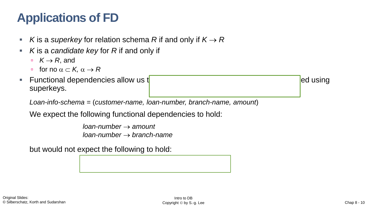# **Applications of FD**

- *K* is a *superkey* for relation schema *R* if and only if *K* → *R*
- K is a *candidate key* for R if and only if
	- $K \rightarrow R$ , and
	- **for no**  $\alpha \subset K$ ,  $\alpha \to R$
- **Functional dependencies allow us to express constraints that cannot be expressed using** ed using superkeys.

*Loan-info-schema* = (*customer-name, loan-number, branch-name, amount*)

We expect the following functional dependencies to hold:

*loan-number* → *amount loan-number* → *branch-name*

but would not expect the following to hold: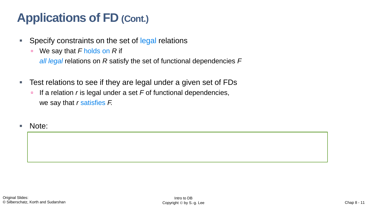# **Applications of FD (Cont.)**

- **EXE** Specify constraints on the set of legal relations
	- We say that F holds on R if

*all legal* relations on *R* satisfy the set of functional dependencies *F*

- Test relations to see if they are legal under a given set of FDs
	- If a relation *r* is legal under a set *F* of functional dependencies, we say that *r* satisfies *F.*

Note:

A *specific instance* of a relation schema may satisfy a functional dependency even if the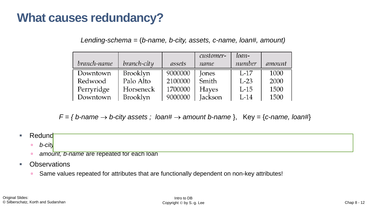### **What causes redundancy?**

*Lending-schema* = (*b-name, b-city, assets, c-name, loan#, amount)*

|             |                 |         | customer-    | loan-  |        |
|-------------|-----------------|---------|--------------|--------|--------|
| branch-name | branch-city     | assets  | name         | number | amount |
| Downtown    | Brooklyn        | 9000000 | Jones        | $L-17$ | 1000   |
| Redwood     | Palo Alto       | 2100000 | Smith        | $L-23$ | 2000   |
| Perryridge  | Horseneck       | 1700000 | <b>Hayes</b> | $L-15$ | 1500   |
| Downtown    | <b>Brooklyn</b> | 9000000 | Jackson      | $L-14$ | 1500   |

 $F = \{$  *b*-name  $\rightarrow$  *b*-city assets ; loan#  $\rightarrow$  amount *b*-name  $\}$ , Key = {*c*-name, loan#}

- Redund
	- *b-city, assets* are repeated for each loan with the same branch
	- **a** amount, b-name are repeated for each loan
- Observations
	- Same values repeated for attributes that are functionally dependent on non-key attributes!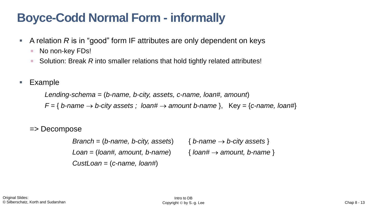# **Boyce-Codd Normal Form - informally**

- A relation R is in "good" form IF attributes are only dependent on keys
	- No non-key FDs!
	- Solution: Break *R* into smaller relations that hold tightly related attributes!
- **Example**

*Lending-schema* = (*b-name, b-city, assets, c-name, loan#, amount*)  $F = \{$  *b*-name  $\rightarrow$  *b*-city assets ; loan#  $\rightarrow$  amount *b*-name  $\}$ , Key =  $\{c$ -name, loan# $\}$ 

#### => Decompose

*Branch* = (*b*-name, *b*-city, assets)  $\{$  *b*-name  $\rightarrow$  *b*-city assets  $\}$ *Loan* = (*loan#, amount, b-name*) { *loan#* → *amount, b-name* } *CustLoan* = (*c-name, loan#*)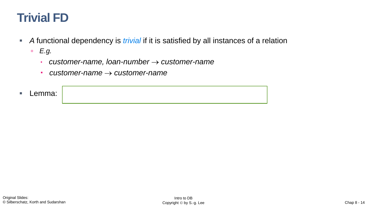## **Trivial FD**

- **A** functional dependency is *trivial* if it is satisfied by all instances of a relation
	- *E.g.*
		- *customer-name, loan-number* → *customer-name*
		- *customer-name* → *customer-name*
- Lemma: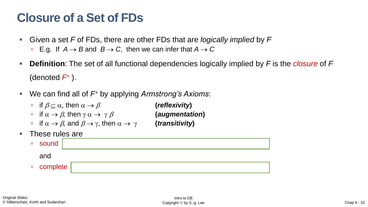### **Closure of a Set of FDs**

- Given a set *F* of FDs, there are other FDs that are *logically implied* by *F*
	- **E.g. If**  $A \rightarrow B$  **and**  $B \rightarrow C$ **, then we can infer that**  $A \rightarrow C$
- **Definition**: The set of all functional dependencies logically implied by F is the *closure* of F (denoted *F<sup>+</sup>* ).
- We can find all of  $F^+$  by applying *Armstrong's Axioms*:
	- $\alpha$  if  $\beta \subseteq \alpha$ , then  $\alpha \to \beta$  (*reflexivity*)
	- $\blacksquare$  if  $\alpha \to \beta$ , then  $\gamma \alpha \to \gamma \beta$  (*augmentation*)
	- $\alpha$  if  $\alpha \rightarrow \beta$ , and  $\beta \rightarrow \gamma$ , then  $\alpha \rightarrow \gamma$  (*transitivity*)
- These rules are

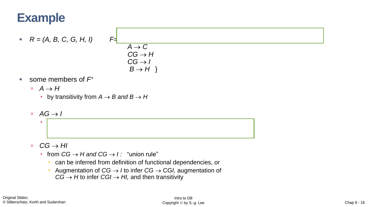# **Example**

- $R = (A, B, C, G, H, I)$   $F=$
- $A \rightarrow C$  $CG \rightarrow H$  $CG \rightarrow I$  $B \rightarrow H$ }

- some members of  $F^+$ 
	- $\Box$  *A* → *H* 
		- **•** by transitivity from  $A \rightarrow B$  and  $B \rightarrow H$
	- $\sqrt{4}$  a AG → *I*

- *CG* → *HI* 
	- from  $CG$  → *H* and  $CG$  → *I* : "union rule"

by augmenting *A* → *C* with G, to get *AG* → *CG* 

- can be inferred from definition of functional dependencies, or
- Augmentation of *CG* → *I* to infer *CG* → CG*I,* augmentation of  $CG \rightarrow H$  to infer  $CG \rightarrow H$ , and then transitivity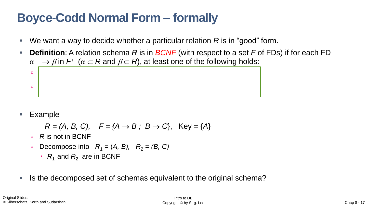# **Boyce-Codd Normal Form – formally**

- We want a way to decide whether a particular relation R is in "good" form.
- **Definition**: A relation schema *R* is in *BCNF* (with respect to a set *F* of FDs) if for each FD  $\alpha \rightarrow \beta$  in  $F^+$  ( $\alpha \subseteq R$  and  $\beta \subseteq R$ ), at least one of the following holds:



**Example** 

$$
R = (A, B, C), \quad F = \{A \rightarrow B; B \rightarrow C\}, \quad \text{Key} = \{A\}
$$

- *R* is not in BCNF
- **Decompose into**  $R_1 = (A, B)$ **,**  $R_2 = (B, C)$ 
	- *R*<sub>1</sub> and  $R_2$  are in BCNF
- Is the decomposed set of schemas equivalent to the original schema?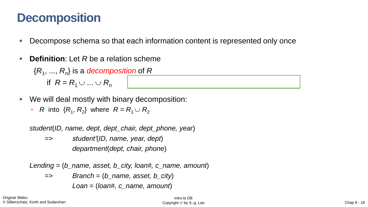### **Decomposition**

- Decompose schema so that each information content is represented only once
- **Definition**: Let *R* be a relation scheme

{*R*<sup>1</sup> , ..., *R<sup>n</sup>* } is a *decomposition* of *R* if  $R = R_1 \cup ... \cup R_n$ (i.e., all of *R*'s attributes are represented)

- We will deal mostly with binary decomposition:
	- $R$  into  $\{R_1, R_2\}$  where  $R = R_1 \cup R_2$

*student*(*ID, name, dept, dept\_chair, dept\_phone, year*)

=> *student'*(*ID, name, year, dept*) *department*(*dept, chair, phone*)

*Lending* = (*b\_name, asset, b\_city, loan#, c\_name, amount*)

=> *Branch* = (*b\_name, asset, b\_city*) *Loan* = (*loan#, c\_name, amount*)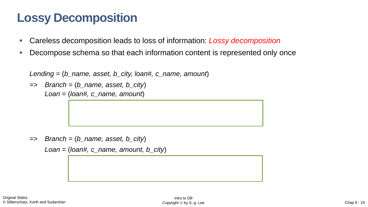# **Lossy Decomposition**

- Careless decomposition leads to loss of information: *Lossy decomposition*
- Decompose schema so that each information content is represented only once

*Lending* = (*b\_name, asset, b\_city, loan#, c\_name, amount*)

=> *Branch* = (*b\_name, asset, b\_city*) *Loan* = (*loan#, c\_name, amount*)

=> *Branch* = (*b\_name, asset, b\_city*)

*Loan* = (*loan#, c\_name, amount, b\_city*)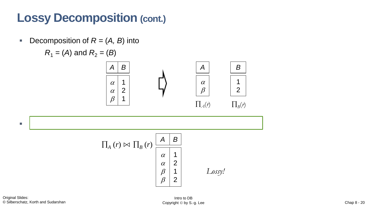# **Lossy Decomposition (cont.)**

**•** Decomposition of  $R = (A, B)$  into

$$
R_1 = (A)
$$
 and  $R_2 = (B)$ 





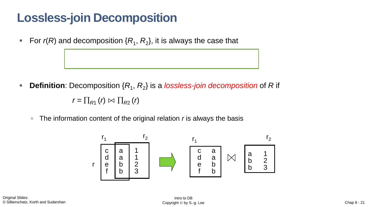# **Lossless-join Decomposition**

**For**  $r(R)$  **and decomposition**  $\{R_1, R_2\}$ , it is always the case that

■ **Definition**: Decomposition { $R_1$ ,  $R_2$ } is a *lossless-join decomposition* of R if

 $r = \prod_{R1} (r) \bowtie \prod_{R2} (r)$ 

■ The information content of the original relation *r* is always the basis

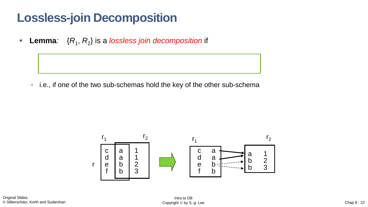### **Lossless-join Decomposition**

■ Lemma: { $R_1$ ,  $R_2$ } is a *lossless join decomposition* if

i.e., if one of the two sub-schemas hold the key of the other sub-schema



Original Slides: © Silberschatz, Korth and Sudarshan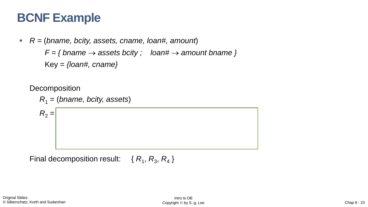### **BCNF Example**

▪ *R =* (*bname, bcity, assets, cname, loan#, amount*)

 $F = \{ \text{brane} \rightarrow \text{assets} \text{ both} \}$   $\Rightarrow$   $\text{Ioan}\# \rightarrow \text{amount} \text{brane} \}$ 

Key = *{loan#, cname}*

**Decomposition** 

*R*<sup>1</sup> = (*bname, bcity, assets*)

 $R_2 =$ 

Final decomposition result: { $R_1, R_3, R_4$  }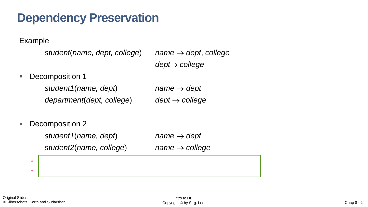### **Dependency Preservation**

Example

```
student(name, dept, college) name → dept, college
```
*dept*→ *college*

■ Decomposition 1

*student1*(*name, dept*) *name* → *dept department*(*dept, college*) *dept* → *college*

■ Decomposition 2

|    | student1(name, dept)    | name $\rightarrow$ dept    |
|----|-------------------------|----------------------------|
|    | student2(name, college) | $name \rightarrow college$ |
| o. |                         |                            |
| o. |                         |                            |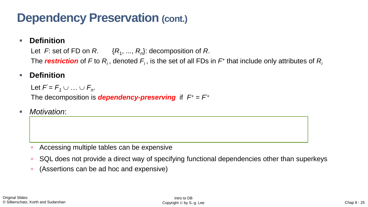### **Dependency Preservation (cont.)**

#### ■ **Definition**

Let  $F$ : set of FD on  $R$ .  $\{R_1, ..., R_n\}$ : decomposition of  $R$ . The *restriction* of F to  $R$ <sub>*i*</sub>, denoted  $F$ <sub>*i*</sub>, is the set of all FDs in  $F$ + that include only attributes of  $R$ *<sub>i</sub>* 

#### **Definition**

Let  $F = F_1 \cup ... \cup F_n$ . The decomposition is *dependency-preserving* if  $F^+ = F^+$ 

We wish to guarantee *F* by locally enforcing each restriction (*R<sup>i</sup>*

*Motivation:* 

decomposed relation.

- Accessing multiple tables can be expensive
- SQL does not provide a direct way of specifying functional dependencies other than superkeys
- (Assertions can be ad hoc and expensive)

) on the respective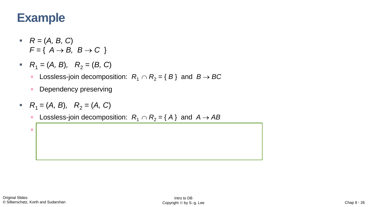### **Example**

- $R = (A, B, C)$  $F = \{ A \rightarrow B, B \rightarrow C \}$
- $R_1 = (A, B), R_2 = (B, C)$ 
	- Lossless-join decomposition:  $R_1 \cap R_2 = \{ B \}$  and  $B \rightarrow BC$
	- **Dependency preserving**

Not dependency preserving

- $R_1 = (A, B), R_2 = (A, C)$ 
	- Lossless-join decomposition:  $R_1 \cap R_2 = \{ A \}$  and  $A \rightarrow AB$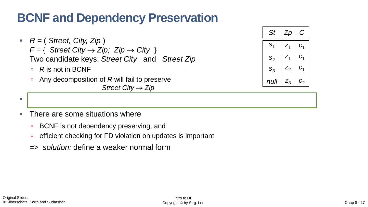# **BCNF and Dependency Preservation**

- *R =* ( *Street, City, Zip* )  $F = \{$  *Street City*  $\rightarrow$  *Zip; Zip*  $\rightarrow$  *City*  $\}$ Two candidate keys: *Street City* and *Street Zip*
	- *R* is not in BCNF
	- Any decomposition of R will fail to preserve *Street City* → *Zip*



- *It is not always possible to get a BCNF decomposition that is dependency preserving* 
	- There are some situations where
		- **BCNF** is not dependency preserving, and
		- **e** efficient checking for FD violation on updates is important
		- *=> solution:* define a weaker normal form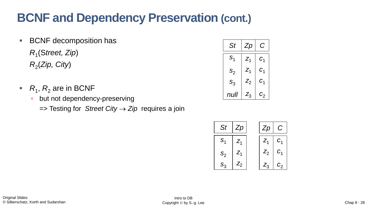# **BCNF and Dependency Preservation (cont.)**

- BCNF decomposition has *R*1 (S*treet, Zip*) *R*2 (*Zip, City*)
- $\blacksquare$   $R_1$ ,  $R_2$  are in BCNF
	- **but not dependency-preserving** 
		- => Testing for *Street City* → *Zip* requires a join

| St             | Zp             | С                        |
|----------------|----------------|--------------------------|
| S <sub>1</sub> | $\mathsf{Z}_1$ | C <sub>1</sub>           |
| $S_2$          | $\mathsf{Z}_1$ | $\mathcal{C}_1$          |
| $S_3$          | $Z_2$          | $\mathcal{C}_1$          |
| null           | $Z_{3}$        | $c_{2}^{\phantom{\dag}}$ |

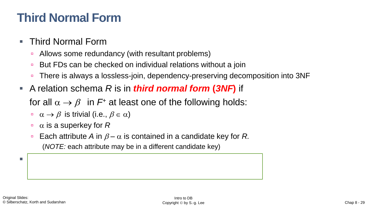# **Third Normal Form**

#### **Third Normal Form**

- **Allows some redundancy (with resultant problems)**
- But FDs can be checked on individual relations without a join
- There is always a lossless-join, dependency-preserving decomposition into 3NF
- A relation schema *R* is in *third normal form* **(***3NF***)** if

for all  $\alpha \rightarrow \beta$  in  $F^+$  at least one of the following holds:

- $\alpha \rightarrow \beta$  is trivial (i.e.,  $\beta \in \alpha$ )
- $\alpha$  is a superkey for  $R$
- **Each attribute A in**  $\beta \alpha$  **is contained in a candidate key for R.** (*NOTE:* each attribute may be in a different candidate key)

 $\blacksquare$  If a relation is in BCNF it is in  $B$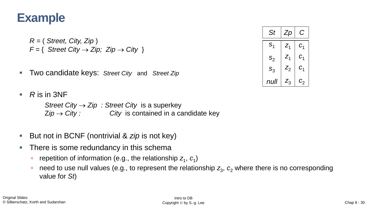### **Example**

*R =* ( *Street, City, Zip* )  $F = \{$  *Street City*  $\rightarrow$  *Zip; Zip*  $\rightarrow$  *City*  $\}$ 

Two candidate keys: *Street City* and *Street Zip* 

*St*  $S_1$  $S_2$  $S_3$ *null Zp z*1 *z*1  $Z_2$ *z*3 *C*  $C<sub>1</sub>$  $c<sub>1</sub>$  $C<sub>1</sub>$  $c<sub>2</sub>$ 

 $\blacksquare$  *R* is in 3NF

*Street City* → *Zip : Street City* is a superkey  $\mathsf{Zip} \rightarrow \mathsf{City}:$  City is contained in a candidate key

- But not in BCNF (nontrivial & *zip* is not key)
- There is some redundancy in this schema
	- repetition of information (e.g., the relationship z<sub>1</sub>, c<sub>1</sub>)
	- need to use null values (e.g., to represent the relationship  $z_3$ ,  $c_2$  where there is no corresponding value for *St*)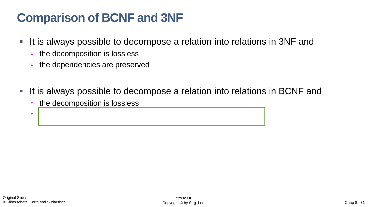# **Comparison of BCNF and 3NF**

- It is always possible to decompose a relation into relations in 3NF and
	- <sup>n</sup> the decomposition is lossless
	- **the dependencies are preserved**
- It is always possible to decompose a relation into relations in BCNF and
	- <sup>n</sup> the decomposition is lossless

it *may not* be possible to preserve dependencies.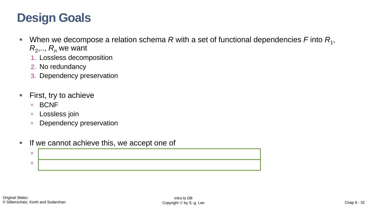## **Design Goals**

- $\blacksquare$  When we decompose a relation schema R with a set of functional dependencies F into  $R_1$ ,  $R_2$ ,..,  $R_n$  we want
	- 1. Lossless decomposition
	- 2. No redundancy
	- 3. Dependency preservation
- First, try to achieve
	- **BCNF**
	- **Lossless join**
	- **Dependency preservation**
- **If we cannot achieve this, we accept one of**

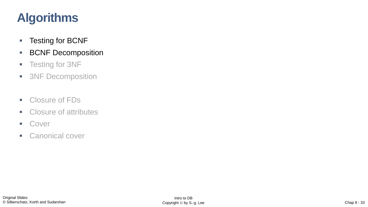# **Algorithms**

- Testing for BCNF
- BCNF Decomposition
- **Example 1** Testing for 3NF
- 3NF Decomposition
- Closure of FDs
- Closure of attributes
- Cover
- **E** Canonical cover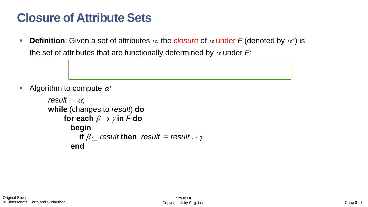# **Closure of Attribute Sets**

**• Definition**: Given a set of attributes  $\alpha$ , the *closure* of  $\alpha$  under F (denoted by  $\alpha^*$ ) is the set of attributes that are functionally determined by  $\alpha$  under  $F$ .

Algorithm to compute  $\alpha^+$ 

```
result := \alpha;
while (changes to result) do
      for each \beta \rightarrow \gamma in F do
         begin
            if \beta \subseteq result then result := result \cup \gammaend
```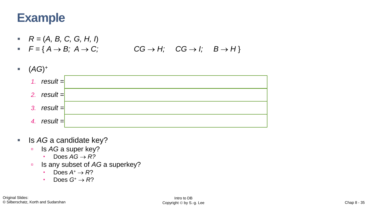# **Example**

- $R = (A, B, C, G, H, I)$
- $F = \{ A \rightarrow B; A \rightarrow C; \qquad CG \rightarrow H; \quad CG \rightarrow I; \quad B \rightarrow H \}$



- Is *AG* a candidate key?
	- **Is AG** a super key?
		- $\cdot$  Does  $AG \rightarrow R?$
	- **Is any subset of AG a superkey?** 
		- $\cdot$  Does  $A^+ \rightarrow R$ ?
		- $\cdot$  Does  $G^+ \rightarrow R$ ?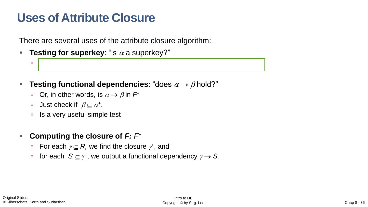### **Uses of Attribute Closure**

There are several uses of the attribute closure algorithm:

- **Testing for superkey**: "is  $\alpha$  a superkey?"
	- Compute +, and check if <sup>+</sup>contains all attributes of *R*.
- **Testing functional dependencies**: "does  $\alpha \rightarrow \beta$  hold?"
	- Or, in other words, is  $\alpha \rightarrow \beta$  in  $F^+$
	- **Just check if**  $\beta \subseteq \alpha^*$ .
	- $\overline{\phantom{a}}$  Is a very useful simple test
- **Computing the closure of** *F: F*<sup>+</sup>
	- For each  $\gamma \subseteq R$ , we find the closure  $\gamma^*$ , and
	- for each  $S \subseteq \gamma^*$ , we output a functional dependency  $\gamma \to S$ .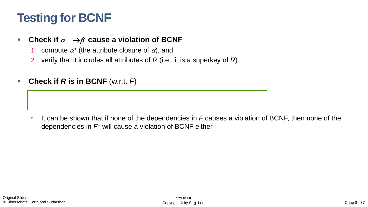# **Testing for BCNF**

#### ■ Check if  $\alpha \rightarrow \beta$  cause a violation of BCNF

- 1. compute  $\alpha^*$  (the attribute closure of  $\alpha$ ), and
- 2. verify that it includes all attributes of *R* (i.e., it is a superkey of *R*)
- **Check if**  $R$  **is in BCNF** (w.r.t.  $F$ )

It can be shown that if none of the dependencies in *F* causes a violation of BCNF, then none of the dependencies in *F*<sup>+</sup> will cause a violation of BCNF either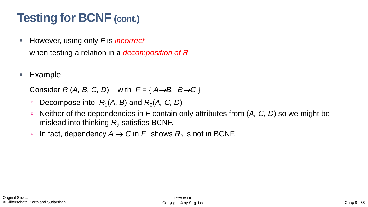# **Testing for BCNF (cont.)**

- However, using only F is *incorrect* when testing a relation in a *decomposition of R*
- **Example**

Consider  $R(A, B, C, D)$  with  $F = \{A \rightarrow B, B \rightarrow C\}$ 

- **Decompose into**  $R_1(A, B)$  **and**  $R_2(A, C, D)$
- Neither of the dependencies in F contain only attributes from  $(A, C, D)$  so we might be mislead into thinking  $R_2$  satisfies BCNF.
- □ In fact, dependency  $A \rightarrow C$  in  $F^+$  shows  $R^2$  is not in BCNF.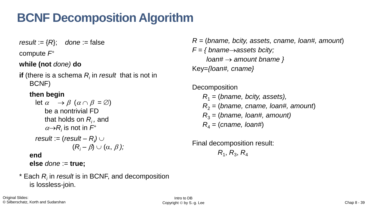# **BCNF Decomposition Algorithm**

*result* :=  $\{R\}$ ; *done* := false

compute *F*<sup>+</sup>

**while (not** *done)* **do**

**if** (there is a schema  $R_i$  in *result* that is not in BCNF)

#### **then begin**

let 
$$
\alpha \rightarrow \beta
$$
 ( $\alpha \cap \beta = \varnothing$ )  
be a nontrivial FD  
that holds on  $R_i$ , and  
 $\alpha \rightarrow R_i$  is not in  $F^+$   
*result* := (*result* –  $R_i$ )  $\cup$   
( $R_i - \beta$ )  $\cup$  ( $\alpha, \beta$ );  
end

**else** *done* := **true;**

\* Each *R<sup>i</sup>* in *result* is in BCNF, and decomposition is lossless-join.

*R =* (*bname, bcity, assets, cname, loan#, amount*) *F = { bname*→*assets bcity; loan#* → *amount bname }* Key=*{loan#, cname}*

**Decomposition** 

*R*<sup>1</sup> = (*bname, bcity, assets), R*<sup>2</sup> = (*bname, cname, loan#, amount*) *R*<sup>3</sup> = (*bname, loan#, amount) R*<sup>4</sup> = (*cname, loan#*)

Final decomposition result:  $R_1, R_3, R_4$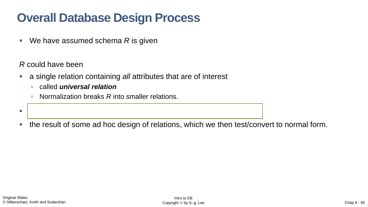# **Overall Database Design Process**

■ We have assumed schema R is given

*R* could have been

a single relation containing *all* attributes that are of interest

▪ generated when converting E-R diagram to a set of tables.

- called *universal relation*
- **Normalization breaks R into smaller relations.**
- the result of some ad hoc design of relations, which we then test/convert to normal form.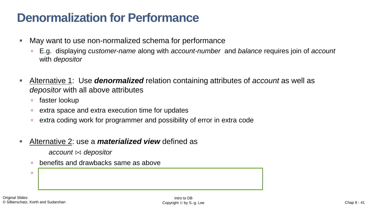### **Denormalization for Performance**

- May want to use non-normalized schema for performance
	- E.g. displaying *customer-name* along with *account-number* and *balance* requires join of *account* with *depositor*
- Alternative 1: Use *denormalized* relation containing attributes of *account* as well as *depositor* with all above attributes
	- faster lookup
	- extra space and extra execution time for updates
	- extra coding work for programmer and possibility of error in extra code
- Alternative 2: use a *materialized view* defined as

*account* ⋈ *depositor* 

**benefits and drawbacks same as above** 

except no extra coding work for programmer and avoids possible errors possible errors possible errors possible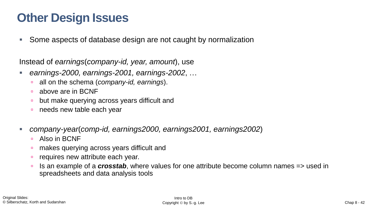# **Other Design Issues**

Some aspects of database design are not caught by normalization

Instead of *earnings*(*company-id, year, amount*), use

- *earnings-2000, earnings-2001, earnings-2002*, …
	- all on the schema (*company-id, earnings*).
	- **a** above are in BCNF
	- but make querying across years difficult and
	- needs new table each year
- *company-year*(*comp-id, earnings2000, earnings2001, earnings2002*)
	- **Also in BCNF**
	- makes querying across years difficult and
	- **requires new attribute each year.**
	- Is an example of a *crosstab*, where values for one attribute become column names => used in spreadsheets and data analysis tools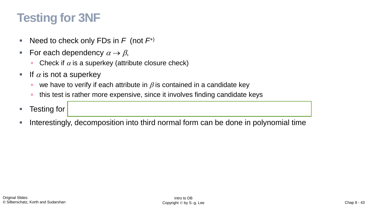# **Testing for 3NF**

- Need to check only FDs in *F* (not *F*<sup>+)</sup>
- For each dependency  $\alpha \rightarrow \beta$ ,
	- Check if  $\alpha$  is a superkey (attribute closure check)
- **If**  $\alpha$  is not a superkey
	- we have to verify if each attribute in  $\beta$  is contained in a candidate key
	- **this test is rather more expensive, since it involves finding candidate keys**
- Testing for
- Interestingly, decomposition into third normal form can be done in polynomial time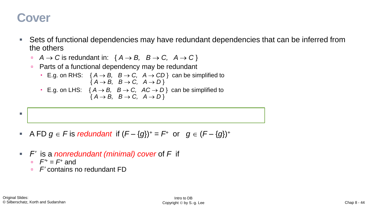### **Cover**

- Sets of functional dependencies may have redundant dependencies that can be inferred from the others
	- *A* → *C* is redundant in: {  $A$  → *B*,  $B$  → *C*,  $A$  → *C*}
	- **Parts of a functional dependency may be redundant** 
		- E.g. on RHS:  $\{A \rightarrow B, B \rightarrow C, A \rightarrow CD\}$  can be simplified to  ${A \rightarrow B, B \rightarrow C, A \rightarrow D}$
		- E.g. on LHS:  $\{A \rightarrow B, B \rightarrow C, AC \rightarrow D\}$  can be simplified to  ${A \rightarrow B, B \rightarrow C, A \rightarrow D}$



- A FD  $g \in F$  is *redundant* if  $(F \{g\})^+ = F^+$  or  $g \in (F \{g\})^+$
- *F'* is a *nonredundant (minimal) cover* of *F* if
	- $F^{\prime+} = F^+$  and
	- *F'* contains no redundant FD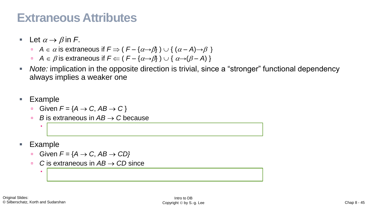### **Extraneous Attributes**

- Let  $\alpha \rightarrow \beta$  in F.
	- *A* ∈ α is extraneous if  $F$   $\Rightarrow$  (  $F \{\alpha \rightarrow \beta\}$  )  $\cup$  {  $(\alpha A) \rightarrow \beta$  }
	- *A* ∈  $\beta$  is extraneous if  $F \leftarrow (F \{\alpha \rightarrow \beta\}) \cup \{\alpha \rightarrow (\beta A)\}\$
- *Note:* implication in the opposite direction is trivial, since a "stronger" functional dependency always implies a weaker one
- **Example** 
	- Given  $F = \{A \rightarrow C, AB \rightarrow C\}$
	- *B* is extraneous in *AB* → *C* because

*A* → *C* logically implies *AB* → *C*

- **Example** 
	- Given  $F = \{A \rightarrow C, AB \rightarrow CD\}$
	- *C* is extraneous in *AB* → *CD* since

*A* → *C* can be inferred even after deleting *C*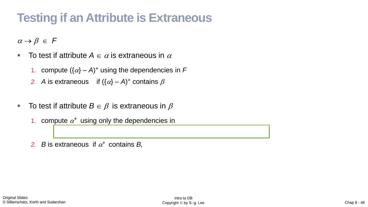# **Testing if an Attribute is Extraneous**

 $\alpha \rightarrow \beta \in F$ 

- **To test if attribute**  $A \in \alpha$  **is extraneous in**  $\alpha$ 
	- 1. compute  $({\alpha} A)^+$  using the dependencies in F
	- 2. *A* is extraneous if  $({\alpha} A)^+$  contains  $\beta$
- **To test if attribute**  $B \in \beta$  **is extraneous in**  $\beta$ 
	- 1. compute  $\alpha^+$  using only the dependencies in
	- 2. *B* is extraneous if  $\alpha^+$  contains *B*,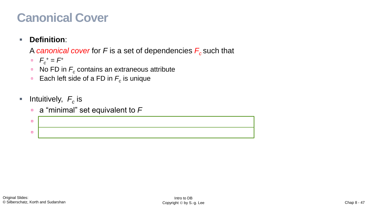# **Canonical Cover**

#### ▪ **Definition**:

A *canonical cover* for *F* is a set of dependencies *F<sup>c</sup>* such that

- $F_c^+ = F^+$
- $\blacksquare$  No FD in  $F_c$  contains an extraneous attribute
- **Each left side of a FD in**  $F_c$  **is unique**
- $\blacksquare$  Intuitively,  $F_c$  is
	- a "minimal" set equivalent to *F*

with  $\overline{\mathbf{D}}$  and  $\overline{\mathbf{D}}$  and  $\overline{\mathbf{D}}$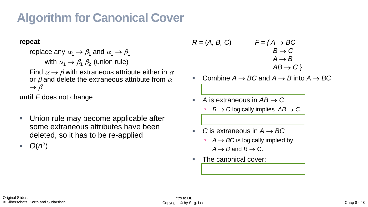# **Algorithm for Canonical Cover**

#### **repeat**

replace any  $\alpha_1 \rightarrow \beta_1$  and  $\alpha_1 \rightarrow \beta_1$ with  $\alpha_1 \rightarrow \beta_1 \beta_2$  (union rule) Find  $\alpha \rightarrow \beta$  with extraneous attribute either in  $\alpha$ or  $\beta$  and delete the extraneous attribute from  $\alpha$  $\rightarrow \beta$ 

**until** *F* does not change

Union rule may become applicable after some extraneous attributes have been deleted, so it has to be re-applied

 $\blacksquare$   $O(n^2)$ 

$$
R = (A, B, C) \qquad F = \{A \rightarrow BC
$$
  
\n
$$
B \rightarrow C
$$
  
\n
$$
A \rightarrow B
$$
  
\n
$$
AB \rightarrow C
$$
}

- Combine  $A \rightarrow BC$  and  $A \rightarrow B$  into  $A \rightarrow BC$
- *A* is extraneous in  $AB \rightarrow C$ 
	- *B* → *C* logically implies  $AB$  → *C*.
- $C$  is extraneous in  $A \rightarrow BC$  $A \rightarrow BC$  is logically implied by  $A \rightarrow B$  and  $B \rightarrow C$ .
- The canonical cover:

*Fc*= { *A* → *B, B* → *C* }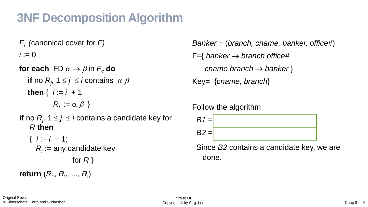# **3NF Decomposition Algorithm**

*Fc (*canonical cover for *F)*  $i := 0$ 

**for each**  $FD \alpha \rightarrow \beta$  in  $F_c$  **do if** no  $R_j$ , 1  $\leq j \leq i$  contains  $\alpha \beta$ **then** { *i* := *i +* 1  $R_i := \alpha \beta$  }

**if** no  $R_j$ , 1  $\leq j \leq i$  contains a candidate key for *R* **then** 

 $\{ i := i + 1;$  $R_i$ : = any candidate key for *R* } **return**  $(R_1, R_2, ..., R_i)$ 

*Banker =* (*branch, cname, banker, office#*) F={ *banker* → *branch office# cname branch* → *banker* } Key= {*cname, branch*}

Follow the algorithm



Since *B2* contains a candidate key, we are done.